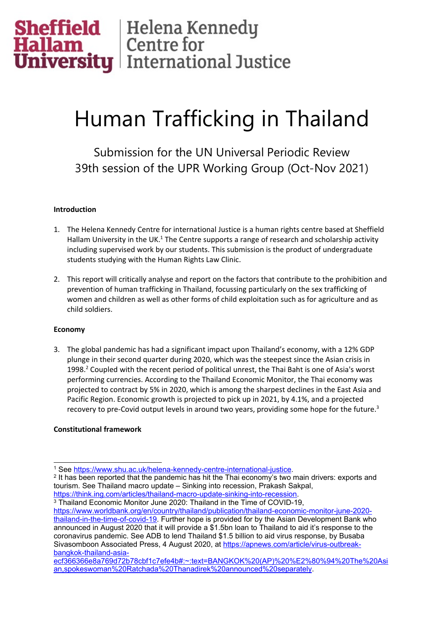# **Sheffield** Helena Kennedy<br> **Hallam** Centre for<br> **University** International Justice

# Human Trafficking in Thailand

Submission for the UN Universal Periodic Review 39th session of the UPR Working Group (Oct-Nov 2021)

#### **Introduction**

- 1. The Helena Kennedy Centre for international Justice is <sup>a</sup> human rights centre based at Sheffield Hallam University in the UK. $^{\rm 1}$  The Centre supports a range of research and scholarship activity including supervised work by our students. This submission is the product of undergraduate students studying with the Human Rights Law Clinic.
- 2. This report will critically analyse and report on the factors that contribute to the prohibition and prevention of human trafficking in Thailand, focussing particularly on the sex trafficking of women and children as well as other forms of child exploitation such as for agriculture and as child soldiers.

#### **Economy**

3. The global pandemic has had <sup>a</sup> significant impact upon Thailand'<sup>s</sup> economy, with <sup>a</sup> 12% GDP plunge in their second quarter during 2020, which was the steepest since the Asian crisis in 1998.<sup>2</sup> Coupled with the recent period of political unrest, the Thai Baht is one of Asia's worst performing currencies. According to the Thailand Economic Monitor, the Thai economy was projected to contract by 5% in 2020, which is among the sharpest declines in the East Asia and Pacific Region. Economic growth is projected to pick up in 2021, by 4.1%, and <sup>a</sup> projected recovery to pre-Covid output levels in around two years, providing some hope for the future.<sup>3</sup>

# **Constitutional framework**

3 Thailand Economic Monitor June 2020: Thailand in the Time of COVID-19,

[https://www.worldbank.org/en/country/thailand/publication/thailand-economic-monitor-june-2020](https://www.worldbank.org/en/country/thailand/publication/thailand-economic-monitor-june-2020-thailand-in-the-time-of-covid-19) [thailand-in-the-time-of-covid-19](https://www.worldbank.org/en/country/thailand/publication/thailand-economic-monitor-june-2020-thailand-in-the-time-of-covid-19). Further hope is provided for by the Asian Development Bank who announced in August 2020 that it will provide <sup>a</sup> \$1.5bn loan to Thailand to aid it'<sup>s</sup> response to the coronavirus pandemic. See ADB to lend Thailand \$1.5 billion to aid virus response, by Busaba Sivasomboon Associated Press, 4 August 2020, at [https://apnews.com/article/virus-outbreak](https://apnews.com/article/virus-outbreak-bangkok-thailand-asia-ecf366366e8a769d72b78cbf1c7efe4b#:~:text=BANGKOK%20(AP)%20%E2%80%94%20The%20Asian,spokeswoman%20Ratchada%20Thanadirek%20announced%20separately)[bangkok-thailand-asia-](https://apnews.com/article/virus-outbreak-bangkok-thailand-asia-ecf366366e8a769d72b78cbf1c7efe4b#:~:text=BANGKOK%20(AP)%20%E2%80%94%20The%20Asian,spokeswoman%20Ratchada%20Thanadirek%20announced%20separately)

<sup>1</sup> See <https://www.shu.ac.uk/helena-kennedy-centre-international-justice>.

<sup>&</sup>lt;sup>2</sup> It has been reported that the pandemic has hit the Thai economy's two main drivers: exports and tourism. See Thailand macro update – Sinking into recession, Prakash Sakpal, <https://think.ing.com/articles/thailand-macro-update-sinking-into-recession>.

[ecf366366e8a769d72b78cbf1c7efe4b#:~:text=BANGKOK%20\(AP\)%20%E2%80%94%20The%20Asi](https://apnews.com/article/virus-outbreak-bangkok-thailand-asia-ecf366366e8a769d72b78cbf1c7efe4b#:~:text=BANGKOK%20(AP)%20%E2%80%94%20The%20Asian,spokeswoman%20Ratchada%20Thanadirek%20announced%20separately) [an,spokeswoman%20Ratchada%20Thanadirek%20announced%20separately](https://apnews.com/article/virus-outbreak-bangkok-thailand-asia-ecf366366e8a769d72b78cbf1c7efe4b#:~:text=BANGKOK%20(AP)%20%E2%80%94%20The%20Asian,spokeswoman%20Ratchada%20Thanadirek%20announced%20separately).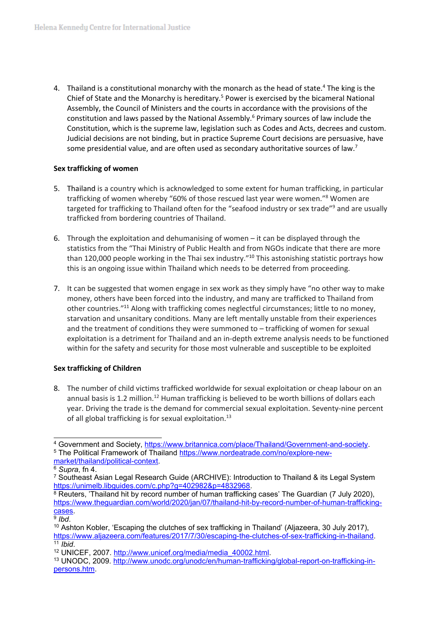4. Thailand is a constitutional monarchy with the monarch as the head of state.<sup>4</sup> The king is the Chief of State and the Monarchy is hereditary.<sup>5</sup> Power is exercised by the bicameral National Assembly, the Council of Ministers and the courts in accordance with the provisions of the constitution and laws passed by the National Assembly.<sup>6</sup> Primary sources of law include the Constitution, which is the supreme law, legislation such as Codes and Acts, decrees and custom. Judicial decisions are not binding, but in practice Supreme Court decisions are persuasive, have some presidential value, and are often used as secondary authoritative sources of law.<sup>7</sup>

#### **Sex trafficking of women**

- 5. Thailand is <sup>a</sup> country which is acknowledged to some extent for human trafficking, in particular trafficking of women whereby "60% of those rescued last year were women." <sup>8</sup> Women are targeted for trafficking to Thailand often for the "seafood industry or sex trade"<sup>9</sup> and are usually trafficked from bordering countries of Thailand.
- 6. Through the exploitation and dehumanising of women it can be displayed through the statistics from the "Thai Ministry of Public Health and from NGOs indicate that there are more than 120,000 people working in the Thai sex industry."<sup>10</sup> This astonishing statistic portrays how this is an ongoing issue within Thailand which needs to be deterred from proceeding.
- 7. It can be suggested that women engage in sex work as they simply have "no other way to make money, others have been forced into the industry, and many are trafficked to Thailand from other countries."<sup>11</sup> Along with trafficking comes neglectful circumstances; little to no money, starvation and unsanitary conditions. Many are left mentally unstable from their experiences and the treatment of conditions they were summoned to – trafficking of women for sexual exploitation is <sup>a</sup> detriment for Thailand and an in-depth extreme analysis needs to be functioned within for the safety and security for those most vulnerable and susceptible to be exploited

# **Sex trafficking of Children**

8. The number of child victims trafficked worldwide for sexual exploitation or cheap labour on an annual basis is 1.2 million.<sup>12</sup> Human trafficking is believed to be worth billions of dollars each year. Driving the trade is the demand for commercial sexual exploitation. Seventy-nine percent of all global trafficking is for sexual exploitation.<sup>13</sup>

<sup>4</sup> Government and Society, <https://www.britannica.com/place/Thailand/Government-and-society>.

<sup>&</sup>lt;sup>5</sup> The Political Framework of Thailand [https://www.nordeatrade.com/no/explore-new-](https://www.nordeatrade.com/no/explore-new-market/thailand/political-context)

[market/thailand/political-context](https://www.nordeatrade.com/no/explore-new-market/thailand/political-context).

<sup>6</sup> *Supra*, fn 4.

<sup>7</sup> Southeast Asian Legal Research Guide (ARCHIVE): Introduction to Thailand & its Legal System <https://unimelb.libguides.com/c.php?g=402982&p=4832968>.

<sup>&</sup>lt;sup>8</sup> Reuters, 'Thailand hit by record number of human trafficking cases' The Guardian (7 July 2020), [https://www.theguardian.com/world/2020/jan/07/thailand-hit-by-record-number-of-human-trafficking](https://www.theguardian.com/world/2020/jan/07/thailand-hit-by-record-number-of-human-trafficking-cases)[cases](https://www.theguardian.com/world/2020/jan/07/thailand-hit-by-record-number-of-human-trafficking-cases).

<sup>9</sup> *Ibd*.

<sup>10</sup> Ashton Kobler, 'Escaping the clutches of sex trafficking in Thailand' (Aljazeera, 30 July 2017), <https://www.aljazeera.com/features/2017/7/30/escaping-the-clutches-of-sex-trafficking-in-thailand>. 11 *Ibid*.

<sup>&</sup>lt;sup>12</sup> UNICEF, 2007. [http://www.unicef.org/media/media\\_40002.html](http://www.unicef.org/media/media_40002.html).

<sup>13</sup> UNODC, 2009. [http://www.unodc.org/unodc/en/human-trafficking/global-report-on-trafficking-in](http://www.unodc.org/unodc/en/human-trafficking/global-report-on-trafficking-in-persons.htm)[persons.htm](http://www.unodc.org/unodc/en/human-trafficking/global-report-on-trafficking-in-persons.htm).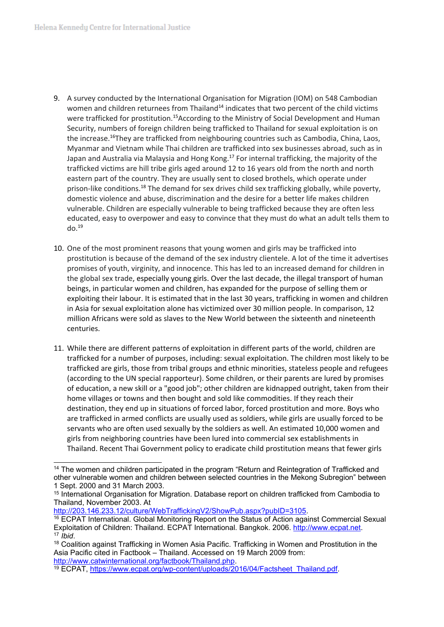- 9. A survey conducted by the International Organisation for Migration (IOM) on 548 Cambodian women and children returnees from Thailand<sup>14</sup> indicates that two percent of the child victims were trafficked for prostitution.<sup>15</sup>According to the Ministry of Social Development and Human Security, numbers of foreign children being trafficked to Thailand for sexual exploitation is on the increase.<sup>16</sup>They are trafficked from neighbouring countries such as Cambodia, China, Laos, Myanmar and Vietnam while Thai children are trafficked into sex businesses abroad, such as in Japan and Australia via Malaysia and Hong Kong.<sup>17</sup> For internal trafficking, the majority of the trafficked victims are hill tribe girls aged around 12 to 16 years old from the north and north eastern part of the country. They are usually sent to closed brothels, which operate under prison-like conditions.<sup>18</sup> The demand for sex drives child sex trafficking globally, while poverty, domestic violence and abuse, discrimination and the desire for <sup>a</sup> better life makes children vulnerable. Children are especially vulnerable to being trafficked because they are often less educated, easy to overpower and easy to convince that they must do what an adult tells them to do.<sup>19</sup>
- 10. One of the most prominent reasons that young women and girls may be trafficked into prostitution is because of the demand of the sex industry clientele. A lot of the time it advertises promises of youth, virginity, and innocence. This has led to an increased demand for children in the global sex trade, especially young girls. Over the last decade, the illegal transport of human beings, in particular women and children, has expanded for the purpose of selling them or exploiting their labour. It is estimated that in the last 30 years, trafficking in women and children in Asia for sexual exploitation alone has victimized over 30 million people. In comparison, 12 million Africans were sold as slaves to the New World between the sixteenth and nineteenth centuries.
- 11. While there are different patterns of exploitation in different parts of the world, children are trafficked for <sup>a</sup> number of purposes, including: sexual exploitation. The children most likely to be trafficked are girls, those from tribal groups and ethnic minorities, stateless people and refugees (according to the UN special rapporteur). Some children, or their parents are lured by promises of education, <sup>a</sup> new skill or <sup>a</sup> "good job"; other children are kidnapped outright, taken from their home villages or towns and then bought and sold like commodities. If they reach their destination, they end up in situations of forced labor, forced prostitution and more. Boys who are trafficked in armed conflicts are usually used as soldiers, while girls are usually forced to be servants who are often used sexually by the soldiers as well. An estimated 10,000 women and girls from neighboring countries have been lured into commercial sex establishments in Thailand. Recent Thai Government policy to eradicate child prostitution means that fewer girls

<http://203.146.233.12/culture/WebTraffickingV2/ShowPub.aspx?pubID=3105>.

<sup>&</sup>lt;sup>14</sup> The women and children participated in the program "Return and Reintegration of Trafficked and other vulnerable women and children between selected countries in the Mekong Subregion" between 1 Sept. 2000 and 31 March 2003.

<sup>&</sup>lt;sup>15</sup> International Organisation for Migration. Database report on children trafficked from Cambodia to Thailand, November 2003. At

<sup>&</sup>lt;sup>16</sup> ECPAT International. Global Monitoring Report on the Status of Action against Commercial Sexual Exploitation of Children: Thailand. ECPAT International. Bangkok. 2006. <http://www.ecpat.net>. 17 *Ibid*.

<sup>&</sup>lt;sup>18</sup> Coalition against Trafficking in Women Asia Pacific. Trafficking in Women and Prostitution in the Asia Pacific cited in Factbook – Thailand. Accessed on 19 March 2009 from: <http://www.catwinternational.org/factbook/Thailand.php>.

<sup>&</sup>lt;sup>19</sup> ECPAT, [https://www.ecpat.org/wp-content/uploads/2016/04/Factsheet\\_Thailand.pdf](https://www.ecpat.org/wp-content/uploads/2016/04/Factsheet_Thailand.pdf).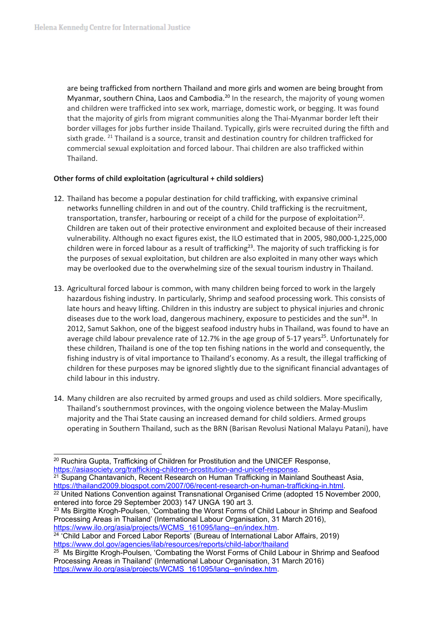are being trafficked from northern Thailand and more girls and women are being brought from Myanmar, southern China, Laos and Cambodia.<sup>20</sup> In the research, the majority of young women and children were trafficked into sex work, marriage, domestic work, or begging. It was found that the majority of girls from migrant communities along the Thai-Myanmar border left their border villages for jobs further inside Thailand. Typically, girls were recruited during the fifth and sixth grade. <sup>21</sup> Thailand is a source, transit and destination country for children trafficked for commercial sexual exploitation and forced labour. Thai children are also trafficked within Thailand.

# **Other forms of child exploitation (agricultural <sup>+</sup> child soldiers)**

- 12. Thailand has become <sup>a</sup> popular destination for child trafficking, with expansive criminal networks funnelling children in and out of the country. Child trafficking is the recruitment, transportation, transfer, harbouring or receipt of a child for the purpose of exploitation<sup>22</sup>. Children are taken out of their protective environment and exploited because of their increased vulnerability. Although no exact figures exist, the ILO estimated that in 2005, 980,000-1,225,000 children were in forced labour as a result of trafficking<sup>23</sup>. The majority of such trafficking is for the purposes of sexual exploitation, but children are also exploited in many other ways which may be overlooked due to the overwhelming size of the sexual tourism industry in Thailand.
- 13. Agricultural forced labour is common, with many children being forced to work in the largely hazardous fishing industry. In particularly, Shrimp and seafood processing work. This consists of late hours and heavy lifting. Children in this industry are subject to physical injuries and chronic diseases due to the work load, dangerous machinery, exposure to pesticides and the sun<sup>24</sup>. In 2012, Samut Sakhon, one of the biggest seafood industry hubs in Thailand, was found to have an average child labour prevalence rate of 12.7% in the age group of 5-17 years<sup>25</sup>. Unfortunately for these children, Thailand is one of the top ten fishing nations in the world and consequently, the fishing industry is of vital importance to Thailand'<sup>s</sup> economy. As <sup>a</sup> result, the illegal trafficking of children for these purposes may be ignored slightly due to the significant financial advantages of child labour in this industry.
- 14. Many children are also recruited by armed groups and used as child soldiers. More specifically, Thailand'<sup>s</sup> southernmost provinces, with the ongoing violence between the Malay-Muslim majority and the Thai State causing an increased demand for child soldiers. Armed groups operating in Southern Thailand, such as the BRN (Barisan Revolusi National Malayu Patani), have

<sup>21</sup> Supang Chantavanich, Recent Research on Human Trafficking in Mainland Southeast Asia, <https://thailand2009.blogspot.com/2007/06/recent-research-on-human-trafficking-in.html>.

24 'Child Labor and Forced Labor Reports' (Bureau of International Labor Affairs, 2019) <https://www.dol.gov/agencies/ilab/resources/reports/child-labor/thailand>

<sup>&</sup>lt;sup>20</sup> Ruchira Gupta, Trafficking of Children for Prostitution and the UNICEF Response, <https://asiasociety.org/trafficking-children-prostitution-and-unicef-response>.

<sup>&</sup>lt;sup>22</sup> United Nations Convention against Transnational Organised Crime (adopted 15 November 2000, entered into force 29 September 2003) 147 UNGA 190 art 3.

<sup>&</sup>lt;sup>23</sup> Ms Birgitte Krogh-Poulsen, 'Combating the Worst Forms of Child Labour in Shrimp and Seafood Processing Areas in Thailand' (International Labour Organisation, 31 March 2016), [https://www.ilo.org/asia/projects/WCMS\\_161095/lang--en/index.htm](https://www.ilo.org/asia/projects/WCMS_161095/lang--en/index.htm).

 $25$  Ms Birgitte Krogh-Poulsen, 'Combating the Worst Forms of Child Labour in Shrimp and Seafood Processing Areas in Thailand' (International Labour Organisation, 31 March 2016) [https://www.ilo.org/asia/projects/WCMS\\_161095/lang--en/index.htm](https://www.ilo.org/asia/projects/WCMS_161095/lang--en/index.htm).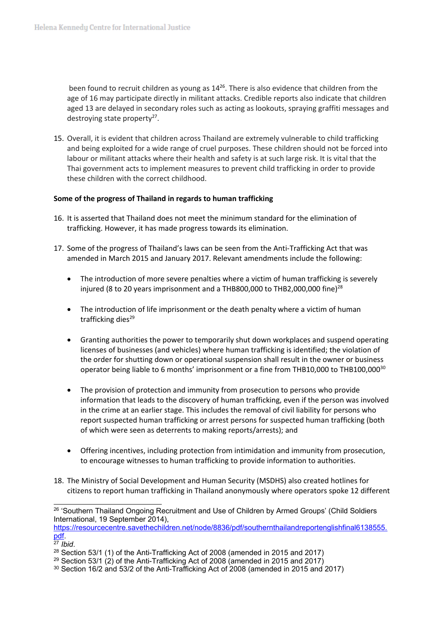been found to recruit children as young as  $14^{26}$ . There is also evidence that children from the age of 16 may participate directly in militant attacks. Credible reports also indicate that children aged 13 are delayed in secondary roles such as acting as lookouts, spraying graffiti messages and destroying state property<sup>27</sup>.

15. Overall, it is evident that children across Thailand are extremely vulnerable to child trafficking and being exploited for <sup>a</sup> wide range of cruel purposes. These children should not be forced into labour or militant attacks where their health and safety is at such large risk. It is vital that the Thai government acts to implement measures to prevent child trafficking in order to provide these children with the correct childhood.

#### **Some of the progress of Thailand in regards to human trafficking**

- 16. It is asserted that Thailand does not meet the minimum standard for the elimination of trafficking. However, it has made progress towards its elimination.
- 17. Some of the progress of Thailand'<sup>s</sup> laws can be seen from the Anti-Trafficking Act that was amended in March 2015 and January 2017. Relevant amendments include the following:
	- $\bullet$  The introduction of more severe penalties where <sup>a</sup> victim of human trafficking is severely injured (8 to 20 years imprisonment and a THB800,000 to THB2,000,000 fine) $^{28}$
	- The introduction of life imprisonment or the death penalty where <sup>a</sup> victim of human trafficking dies<sup>29</sup>
	- $\bullet$  Granting authorities the power to temporarily shut down workplaces and suspend operating licenses of businesses (and vehicles) where human trafficking is identified; the violation of the order for shutting down or operational suspension shall result in the owner or business operator being liable to <sup>6</sup> months' imprisonment or <sup>a</sup> fine from THB10,000 to THB100,000<sup>30</sup>
	- 6 The provision of protection and immunity from prosecution to persons who provide information that leads to the discovery of human trafficking, even if the person was involved in the crime at an earlier stage. This includes the removal of civil liability for persons who report suspected human trafficking or arrest persons for suspected human trafficking (both of which were seen as deterrents to making reports/arrests); and
	- e Offering incentives, including protection from intimidation and immunity from prosecution, to encourage witnesses to human trafficking to provide information to authorities.
- 18. The Ministry of Social Development and Human Security (MSDHS) also created hotlines for citizens to report human trafficking in Thailand anonymously where operators spoke 12 different

[https://resourcecentre.savethechildren.net/node/8836/pdf/southernthailandreportenglishfinal6138555.](https://resourcecentre.savethechildren.net/node/8836/pdf/southernthailandreportenglishfinal6138555.pdf) [pdf](https://resourcecentre.savethechildren.net/node/8836/pdf/southernthailandreportenglishfinal6138555.pdf). 27 *Ibid*.

 $^\mathrm{26}$  'Southern Thailand Ongoing Recruitment and Use of Children by Armed Groups' (Child Soldiers International, 19 September 2014),

<sup>&</sup>lt;sup>28</sup> Section 53/1 (1) of the Anti-Trafficking Act of 2008 (amended in 2015 and 2017)

<sup>&</sup>lt;sup>29</sup> Section 53/1 (2) of the Anti-Trafficking Act of 2008 (amended in 2015 and 2017)

<sup>30</sup> Section 16/2 and 53/2 of the Anti-Trafficking Act of 2008 (amended in 2015 and 2017)